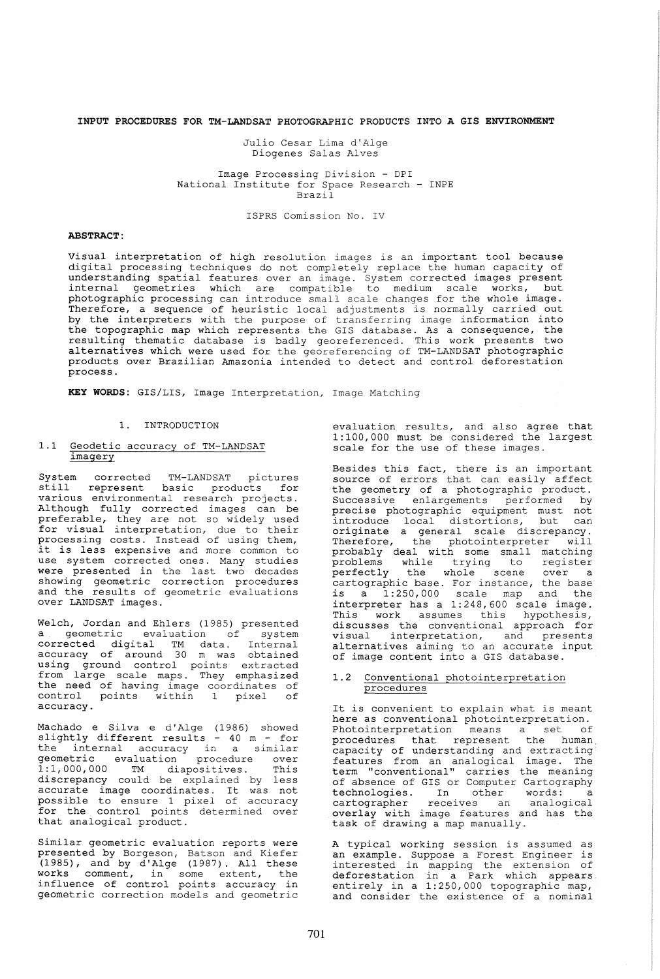## INPUT PROCEDURES FOR TM-LANDSAT PHOTOGRAPHIC PRODUCTS INTO A GIS ENVIRONMENT

Julio Cesar Lima d'Alge Diogenes Salas Alves

Image Processing Division - DPI National Institute for Space Research - INPE Brazil

ISPRS Comission No. IV

# ABSTRACT:

Visual interpretation of high resolution images is an important tool because digital processing techniques do not completely replace the human capacity of understanding spatial features over an image. System corrected images present internal geometries which are compatible to medium scale works, but photographic processing can introduce small scale changes for the whole image. Therefore, a sequence of heuristic local adjustments is normally carried out by the interpreters with the purpose of transferring image information into the topographic map which represents the GIS database. As a consequence, the resulting thematic database is badly georeferenced. This work presents two alternatives which were used for the georeferencing of TM-LANDSAT photographic products over Brazilian Amazonia intended to detect and control deforestation process.

KEY WORDS: GIS/LIS, Image Interpretation, Image Matching

#### 1. INTRODUCTION

#### 1.1 Geodetic accuracy of TM-LANDSAT imagery

System corrected TM-LANDSAT pictures still represent basic products for various environmental research projects. Although fully corrected images can be preferable, they are not so widely used for visual interpretation, due to their processing costs. Instead of using them, processing costs. Instead of using them,<br>it is less expensive and more common to use system corrected ones. Many studies were presented in the last two decades showing geometric correction procedures and the results of geometric evaluations<br>and the results of geometric evaluations<br>over LANDSAT images.

Welch, Jordan and Ehlers (1985) presented a geometric evaluation of system corrected digital TM data. Internal accuracy of around 30 m was obtained using ground control points extracted from large scale maps. They emphasized the need of having image coordinates of control points within 1 pixel of control points within<br>accuracy.

Machado e Silva e d'Alge (1986) showed slightly different results - 40 m - for endividual control of the internal accuracy in a similar geometric evaluation procedure over 1:1,000,000 TM diapositives. This discrepancy could be explained by less arscrepancy courd be exprained by ress<br>accurate image coordinates. It was not possible to ensure 1 pixel of accuracy for the control points determined over<br>that analogical product.

Similar geometric evaluation reports were presented by Borgeson, Batson and Kiefer (1985), and by d'Alge (1987). All these works comment, in some extent, the influence of control points accuracy in geometric correction models and geometric

evaluation results, and also agree that 1:100,000 must be considered the largest scale for the use of these images.

Besides this fact, there is an important source of errors that can easily affect the geometry of a photographic product. Successive enlargements performed by precise photographic equipment must not<br>introduce local distortions, but can originate a general scale discrepancy.<br>Therefore, the photointerpreter will Therefore, the photointerpreter probably deal with some small matching problems while trying to register persectly the whole scene over a cartographic base. For instance, the base is a 1: 250,000 scale map and the interpreter has a 1:248,600 scale image. Incorpreced has a first year of manage.<br>This work assumes this hypothesis, discusses the conventional approach for visual interpretation, and presents alternatives aiming to an accurate input of image content into a GIS database.

#### 1.2 Conventional photointerpretation procedures

It is convenient to explain what is meant here as conventional photointerpretation. Photointerpretation means a set of procedures that represent the human. capaci ty of understanding and extracting features from an analogical image. The term "conventional" carries the meaning of absence of GIS or Computer Cartography technologies. In other words: a cartographer receives an analogical overlay with image features and has the task of drawing a map manually.

A typical working session is assumed as<br>an example. Suppose a Forest Engineer is interested in mapping the extension of deforestation in a Park which appears entirely in a 1:250,000 topographic map, and consider the existence of a nominal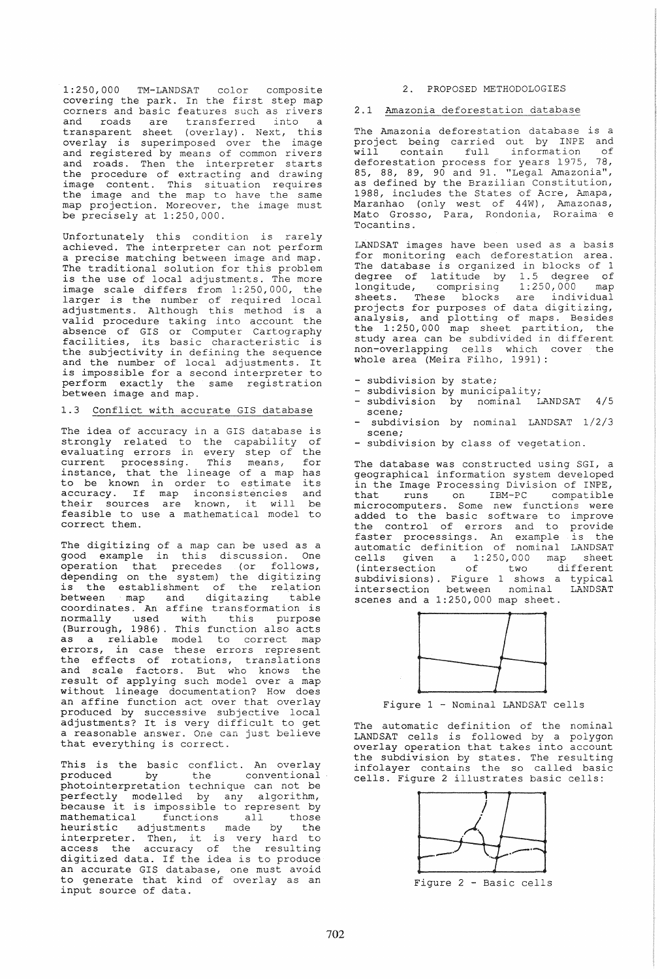1:250,000 TM-LANDSAT color composite covering the park. In the first step map corners and basic features such as rivers<br>and roads are transferred into a transferred into transparent sheet (overlay). Next, this overlay is superimposed over the image and registered by means of common rivers and rogisectica by means of common fivers the procedure of extracting and drawing image content. This situation requires the image and the map to have the same map projection. Moreover, the image must be precisely at 1:250,000.

Unfortunately this condition is rarely achieved. The interpreter can not perform a precise matching between image and map. The traditional solution for this problem is the use of local adjustments. The more image scale differs from 1: 250 *,000,* the larger is the number of required local adjustments. Although this method is a valid procedure taking into account the absence of GIS or Computer Cartography facilities, its basic characteristic is the subjectivity in defining the sequence and the number of local adjustments. It and the number of focal adjustments. It perform exactly the same registration between image and map.

# 1.3 Conflict with accurate GIS database

The idea of accuracy in a GIS database is strongly related to the capability of evaluating errors in every step of the current processing. This means, for instance, that the lineage of a map has Instance, that the fineage of a map has<br>to be known in order to estimate its accuracy. If map inconsistencies and their sources are known, it will be feasible to use a mathematical model to correct them.

The digitizing of a map can be used as a and digitaling of a map can be about as a operation that precedes (or follows, depending on the system) the digitizing depending on the system, the digitizing<br>is the establishment of the relation between map and digitazing table between map and digitazing table<br>coordinates. An affine transformation is normally used with this purpose (Burrough, 1986). This function also acts as a reliable model to correct map errors, in case these errors represent the effects of rotations, translations and scale factors. But who knows the result of applying such model over a map without lineage documentation? How does an affine function act over that overlay produced by successive subjective local adjustments? It is very difficult to get a reasonable answer. One can just believe that everything is correct.

This is the basic conflict. An overlay produced by the conventional produced by the conventional<br>photointerpretation technique can not be perfectly modelled by any algorithm, because it is impossible to represent by because it is impossible to represent by<br>mathematical functions all those heuristic adjustments made by the interpreter. Then, it is very hard to access the accuracy of the resulting digitized data. If the idea is to produce an accurate GIS database, one must avoid an accurate GIS database, one must avoid<br>to generate that kind of overlay as an input source of data.

## 2. PROPOSED METHODOLOGIES

#### 2.1 Amazonia deforestation database

The Amazonia deforestation database is a project being carried out by INPE and project being carried one by this and<br>will contain full information of deforestation process for years 1975, 78, 85, 88, 89, 90 and 91. "Legal Amazonia", defined by the Brazilian Constitution, 1988, includes the States of Acre, Amapa, Maranhao (only west of 44W), Amazonas, Mato Grosso, Para, Rondonia, Roraima e Tocantins.

LANDSAT images have been used as a basis for monitoring each deforestation area. The database is organized in blocks of <sup>1</sup> degree of latitude by 1.5 degree of longitude, comprising 1:250,000 map sheets. These blocks are individual projects for purposes of data digitizing, analysis, and plotting of maps. Besides the 1:250,000 map sheet partition, the study area can be subdivided in different non-overlapping cells which cover the whole area (Meira Filho, 1991):

- subdivision by state;
- subdivision by municipality;
- subdivision by nominal LANDSAT 4/5 scene;
- subdivision by nominal LANDSAT 1/2/3 scene;
- subdivision by class of vegetation.

The database was constructed using SGI, a geographical information system developed in the Image Processing Division of INPE, that runs on IBM-PC compatible microcomputers. Some new functions were added to the basic software to improve the control of errors and to provide faster processings. An example is the automatic definition of nominal LANDSAT cells given a 1:250,000 map sheet (intersection of two different subdivisions). Figure 1 shows a typical intersection between nominal LANDSAT scenes and a 1:250,000 map sheet.



Figure 1 - Nominal LANDSAT cells

The automatic definition of the nominal LANDSAT cells is followed by a polygon overlay operation that takes into account the subdivision by states. The resulting infolayer contains the so called basic cells. Figure 2 illustrates basic cells:



Figure 2 - Basic cells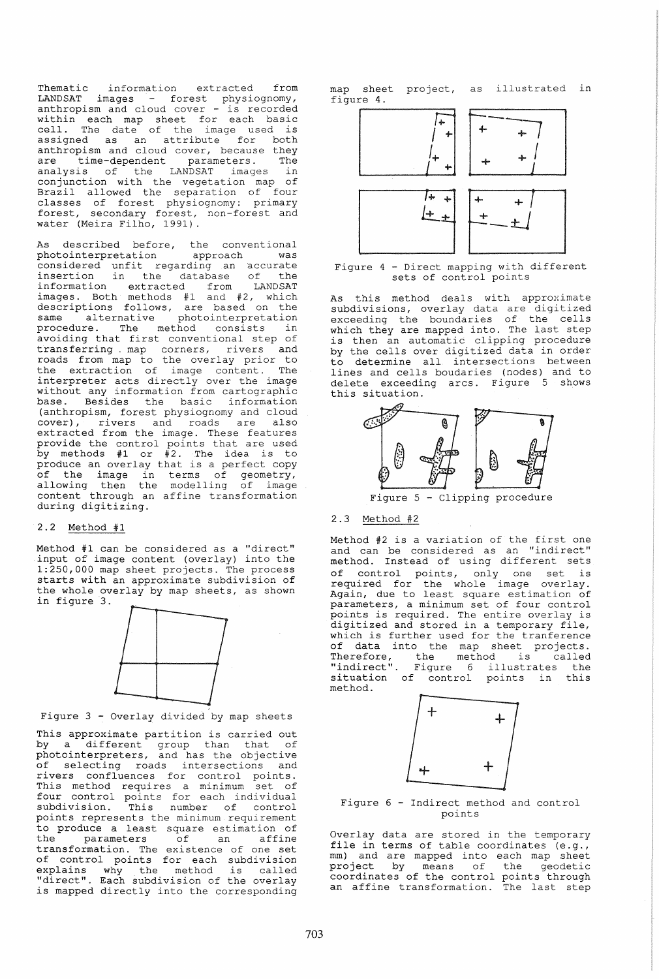Thematic information extracted from LANDSAT images - forest physiognomy,<br>anthropism and cloud cover - is recorded within each map sheet for each basic cell. The date of the image used is assigned as an attribute for both anthropism and cloud cover, because they are time-dependent parameters. The analysis of the LANDSAT images in conjunction with the vegetation map of Brazil allowed the separation of four classes of forest physiognomy: primary forest, secondary forest, non-forest and water (Meira Filho, 1991).

As described before, the conventional<br>photointerpretation approach was photointerpretation approach was considered unfit regarding an accurate insertion in the database of the information extracted from LANDSAT images. Both methods #1 and #2, which descriptions follows, are based on the same alternative photointerpretation same alternative photointerpretation<br>procedure. The method consists in avoiding that first conventional step of<br>transferring map corners, rivers and transferring map corners, rivers roads from map to the overlay prior to the extraction of image content. The interpreter acts directly over the image without any information from cartographic base. Besides the basic information (anthropism, forest physiognomy and cloud cover), rivers and roads are also extracted from the image. These features provide the control points that are used by methods #1 or #2. The idea is to  $\sum_{i=1}^{n}$  increase  $\sum_{i=1}^{n}$  and  $\sum_{i=1}^{n}$  increase the section of of the image in terms of geometry, allowing then the modelling of image content through an affine transformation during digitizing.

#### 2.2 Method #1

Method #1 can be considered as a "direct" input of image content (overlay) into the 1:250,000 map sheet projects. The process starts with an approximate subdivision of the whole overlay by map sheets, as shown in figure 3.



Figure 3 - Overlay divided by map sheets

This approximate partition is carried out by a different group than that of photointerpreters, and has the objective of selecting roads intersections and rivers confluences for control points. This method requires a minimum set of four control points for each individual subdivision. This number of control points represents the minimum requirement to produce a least square estimation of the parameters of an affine the parameters of an affine<br>transformation. The existence of one set of control points for each subdivision explains why the method is called "direct". Each subdivision of the overlay is mapped directly into the corresponding

map sheet project, as illustrated in figure 4.



Figure 4 - Direct mapping with different sets of control points

As this method deals with approximate subdivisions, overlay data are digitized exceeding the boundaries of the cells which they are mapped into. The last step is then an automatic clipping procedure by the cells over digitized data in order to determine all intersections between lines and cells boudaries (nodes) and to delete exceeding arcs. Figure 5 shows this situation.



Figure 5 - Clipping procedure

# 2.3 Method #2

Method #2 is a variation of the first one and can be considered as an "indirect" method. Instead of using different sets of control points, only one set is required for the whole image overlay. Esquired for the whore image overlay.<br>Again, due to least square estimation of parameters, a minimum set of four control points is required. The entire overlay is digitized and stored in a temporary file, which is further used for the tranference of data into the map sheet projects. Therefore, the method is called "indirect". Figure 6 illustrates the situation of control points in this method.



Figure 6 - Indirect method and control points

Overlay data are stored in the temporary file in terms of table coordinates (e.g., mm) and are mapped into each map sheet man, and are mapped files cash map shoot coordinates of the control points through an affine transformation. The last step